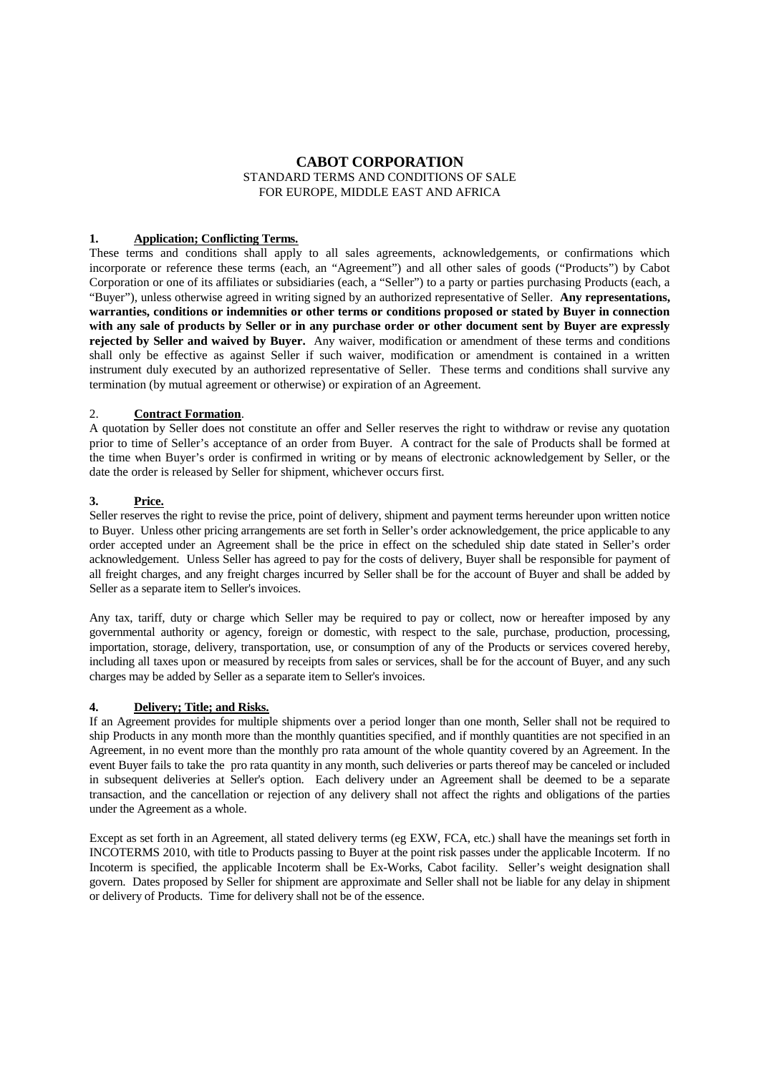# **CABOT CORPORATION** STANDARD TERMS AND CONDITIONS OF SALE FOR EUROPE, MIDDLE EAST AND AFRICA

## **1. Application; Conflicting Terms.**

These terms and conditions shall apply to all sales agreements, acknowledgements, or confirmations which incorporate or reference these terms (each, an "Agreement") and all other sales of goods ("Products") by Cabot Corporation or one of its affiliates or subsidiaries (each, a "Seller") to a party or parties purchasing Products (each, a "Buyer"), unless otherwise agreed in writing signed by an authorized representative of Seller. **Any representations, warranties, conditions or indemnities or other terms or conditions proposed or stated by Buyer in connection with any sale of products by Seller or in any purchase order or other document sent by Buyer are expressly rejected by Seller and waived by Buyer.** Any waiver, modification or amendment of these terms and conditions shall only be effective as against Seller if such waiver, modification or amendment is contained in a written instrument duly executed by an authorized representative of Seller. These terms and conditions shall survive any termination (by mutual agreement or otherwise) or expiration of an Agreement.

## 2. **Contract Formation**.

A quotation by Seller does not constitute an offer and Seller reserves the right to withdraw or revise any quotation prior to time of Seller's acceptance of an order from Buyer. A contract for the sale of Products shall be formed at the time when Buyer's order is confirmed in writing or by means of electronic acknowledgement by Seller, or the date the order is released by Seller for shipment, whichever occurs first.

## **3. Price.**

Seller reserves the right to revise the price, point of delivery, shipment and payment terms hereunder upon written notice to Buyer. Unless other pricing arrangements are set forth in Seller's order acknowledgement, the price applicable to any order accepted under an Agreement shall be the price in effect on the scheduled ship date stated in Seller's order acknowledgement. Unless Seller has agreed to pay for the costs of delivery, Buyer shall be responsible for payment of all freight charges, and any freight charges incurred by Seller shall be for the account of Buyer and shall be added by Seller as a separate item to Seller's invoices.

Any tax, tariff, duty or charge which Seller may be required to pay or collect, now or hereafter imposed by any governmental authority or agency, foreign or domestic, with respect to the sale, purchase, production, processing, importation, storage, delivery, transportation, use, or consumption of any of the Products or services covered hereby, including all taxes upon or measured by receipts from sales or services, shall be for the account of Buyer, and any such charges may be added by Seller as a separate item to Seller's invoices.

## **4. Delivery; Title; and Risks.**

If an Agreement provides for multiple shipments over a period longer than one month, Seller shall not be required to ship Products in any month more than the monthly quantities specified, and if monthly quantities are not specified in an Agreement, in no event more than the monthly pro rata amount of the whole quantity covered by an Agreement. In the event Buyer fails to take the pro rata quantity in any month, such deliveries or parts thereof may be canceled or included in subsequent deliveries at Seller's option. Each delivery under an Agreement shall be deemed to be a separate transaction, and the cancellation or rejection of any delivery shall not affect the rights and obligations of the parties under the Agreement as a whole.

Except as set forth in an Agreement, all stated delivery terms (eg EXW, FCA, etc.) shall have the meanings set forth in INCOTERMS 2010, with title to Products passing to Buyer at the point risk passes under the applicable Incoterm. If no Incoterm is specified, the applicable Incoterm shall be Ex-Works, Cabot facility. Seller's weight designation shall govern. Dates proposed by Seller for shipment are approximate and Seller shall not be liable for any delay in shipment or delivery of Products. Time for delivery shall not be of the essence.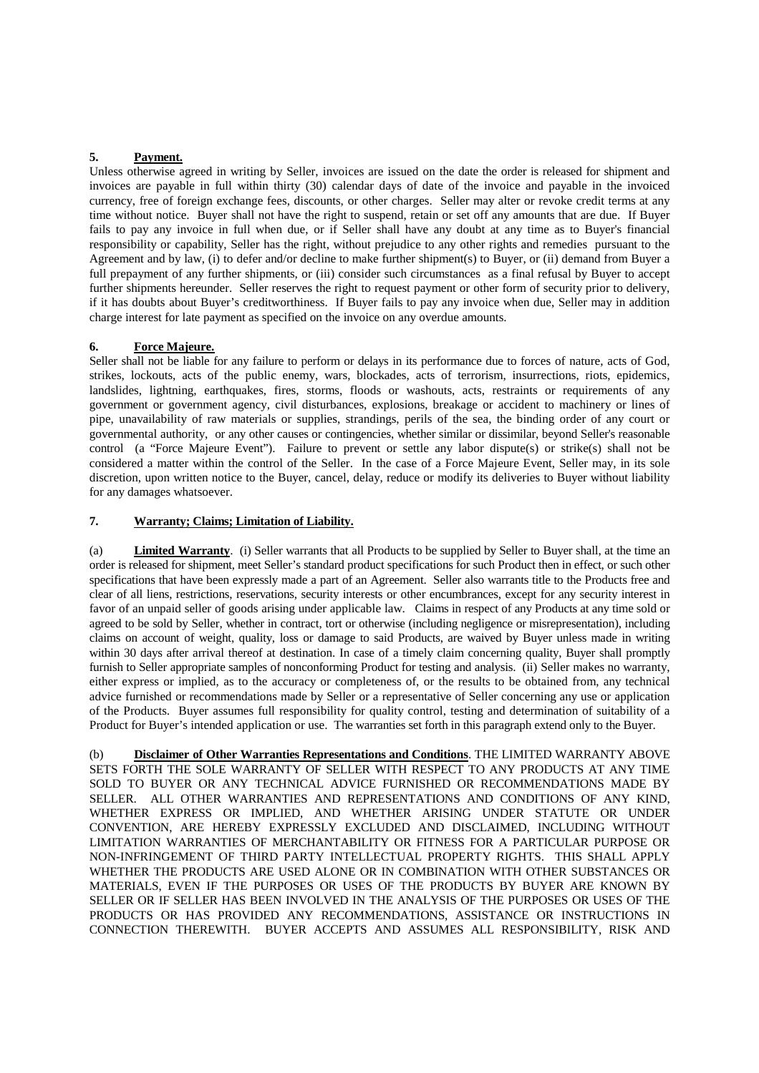# **5. Payment.**

Unless otherwise agreed in writing by Seller, invoices are issued on the date the order is released for shipment and invoices are payable in full within thirty (30) calendar days of date of the invoice and payable in the invoiced currency, free of foreign exchange fees, discounts, or other charges. Seller may alter or revoke credit terms at any time without notice. Buyer shall not have the right to suspend, retain or set off any amounts that are due. If Buyer fails to pay any invoice in full when due, or if Seller shall have any doubt at any time as to Buyer's financial responsibility or capability, Seller has the right, without prejudice to any other rights and remedies pursuant to the Agreement and by law, (i) to defer and/or decline to make further shipment(s) to Buyer, or (ii) demand from Buyer a full prepayment of any further shipments, or (iii) consider such circumstances as a final refusal by Buyer to accept further shipments hereunder. Seller reserves the right to request payment or other form of security prior to delivery, if it has doubts about Buyer's creditworthiness. If Buyer fails to pay any invoice when due, Seller may in addition charge interest for late payment as specified on the invoice on any overdue amounts.

## **6. Force Majeure.**

Seller shall not be liable for any failure to perform or delays in its performance due to forces of nature, acts of God, strikes, lockouts, acts of the public enemy, wars, blockades, acts of terrorism, insurrections, riots, epidemics, landslides, lightning, earthquakes, fires, storms, floods or washouts, acts, restraints or requirements of any government or government agency, civil disturbances, explosions, breakage or accident to machinery or lines of pipe, unavailability of raw materials or supplies, strandings, perils of the sea, the binding order of any court or governmental authority, or any other causes or contingencies, whether similar or dissimilar, beyond Seller's reasonable control (a "Force Majeure Event"). Failure to prevent or settle any labor dispute(s) or strike(s) shall not be considered a matter within the control of the Seller. In the case of a Force Majeure Event, Seller may, in its sole discretion, upon written notice to the Buyer, cancel, delay, reduce or modify its deliveries to Buyer without liability for any damages whatsoever.

## **7. Warranty; Claims; Limitation of Liability.**

(a) **Limited Warranty**. (i) Seller warrants that all Products to be supplied by Seller to Buyer shall, at the time an order is released for shipment, meet Seller's standard product specifications for such Product then in effect, or such other specifications that have been expressly made a part of an Agreement. Seller also warrants title to the Products free and clear of all liens, restrictions, reservations, security interests or other encumbrances, except for any security interest in favor of an unpaid seller of goods arising under applicable law. Claims in respect of any Products at any time sold or agreed to be sold by Seller, whether in contract, tort or otherwise (including negligence or misrepresentation), including claims on account of weight, quality, loss or damage to said Products, are waived by Buyer unless made in writing within 30 days after arrival thereof at destination. In case of a timely claim concerning quality, Buyer shall promptly furnish to Seller appropriate samples of nonconforming Product for testing and analysis. (ii) Seller makes no warranty, either express or implied, as to the accuracy or completeness of, or the results to be obtained from, any technical advice furnished or recommendations made by Seller or a representative of Seller concerning any use or application of the Products. Buyer assumes full responsibility for quality control, testing and determination of suitability of a Product for Buyer's intended application or use. The warranties set forth in this paragraph extend only to the Buyer.

(b) **Disclaimer of Other Warranties Representations and Conditions**. THE LIMITED WARRANTY ABOVE SETS FORTH THE SOLE WARRANTY OF SELLER WITH RESPECT TO ANY PRODUCTS AT ANY TIME SOLD TO BUYER OR ANY TECHNICAL ADVICE FURNISHED OR RECOMMENDATIONS MADE BY SELLER. ALL OTHER WARRANTIES AND REPRESENTATIONS AND CONDITIONS OF ANY KIND, WHETHER EXPRESS OR IMPLIED, AND WHETHER ARISING UNDER STATUTE OR UNDER CONVENTION, ARE HEREBY EXPRESSLY EXCLUDED AND DISCLAIMED, INCLUDING WITHOUT LIMITATION WARRANTIES OF MERCHANTABILITY OR FITNESS FOR A PARTICULAR PURPOSE OR NON-INFRINGEMENT OF THIRD PARTY INTELLECTUAL PROPERTY RIGHTS. THIS SHALL APPLY WHETHER THE PRODUCTS ARE USED ALONE OR IN COMBINATION WITH OTHER SUBSTANCES OR MATERIALS, EVEN IF THE PURPOSES OR USES OF THE PRODUCTS BY BUYER ARE KNOWN BY SELLER OR IF SELLER HAS BEEN INVOLVED IN THE ANALYSIS OF THE PURPOSES OR USES OF THE PRODUCTS OR HAS PROVIDED ANY RECOMMENDATIONS, ASSISTANCE OR INSTRUCTIONS IN CONNECTION THEREWITH. BUYER ACCEPTS AND ASSUMES ALL RESPONSIBILITY, RISK AND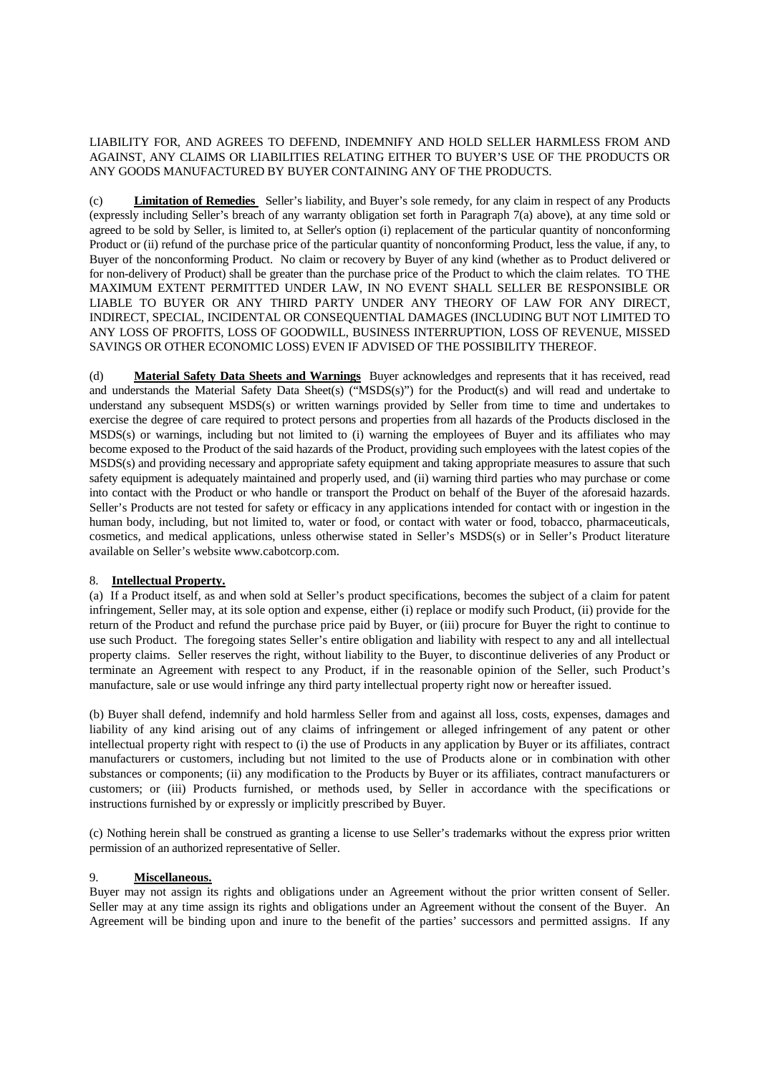LIABILITY FOR, AND AGREES TO DEFEND, INDEMNIFY AND HOLD SELLER HARMLESS FROM AND AGAINST, ANY CLAIMS OR LIABILITIES RELATING EITHER TO BUYER'S USE OF THE PRODUCTS OR ANY GOODS MANUFACTURED BY BUYER CONTAINING ANY OF THE PRODUCTS.

(c) **Limitation of Remedies** Seller's liability, and Buyer's sole remedy, for any claim in respect of any Products (expressly including Seller's breach of any warranty obligation set forth in Paragraph 7(a) above), at any time sold or agreed to be sold by Seller, is limited to, at Seller's option (i) replacement of the particular quantity of nonconforming Product or (ii) refund of the purchase price of the particular quantity of nonconforming Product, less the value, if any, to Buyer of the nonconforming Product. No claim or recovery by Buyer of any kind (whether as to Product delivered or for non-delivery of Product) shall be greater than the purchase price of the Product to which the claim relates. TO THE MAXIMUM EXTENT PERMITTED UNDER LAW, IN NO EVENT SHALL SELLER BE RESPONSIBLE OR LIABLE TO BUYER OR ANY THIRD PARTY UNDER ANY THEORY OF LAW FOR ANY DIRECT, INDIRECT, SPECIAL, INCIDENTAL OR CONSEQUENTIAL DAMAGES (INCLUDING BUT NOT LIMITED TO ANY LOSS OF PROFITS, LOSS OF GOODWILL, BUSINESS INTERRUPTION, LOSS OF REVENUE, MISSED SAVINGS OR OTHER ECONOMIC LOSS) EVEN IF ADVISED OF THE POSSIBILITY THEREOF.

(d) **Material Safety Data Sheets and Warnings** Buyer acknowledges and represents that it has received, read and understands the Material Safety Data Sheet(s) ("MSDS(s)") for the Product(s) and will read and undertake to understand any subsequent MSDS(s) or written warnings provided by Seller from time to time and undertakes to exercise the degree of care required to protect persons and properties from all hazards of the Products disclosed in the MSDS(s) or warnings, including but not limited to (i) warning the employees of Buyer and its affiliates who may become exposed to the Product of the said hazards of the Product, providing such employees with the latest copies of the MSDS(s) and providing necessary and appropriate safety equipment and taking appropriate measures to assure that such safety equipment is adequately maintained and properly used, and (ii) warning third parties who may purchase or come into contact with the Product or who handle or transport the Product on behalf of the Buyer of the aforesaid hazards. Seller's Products are not tested for safety or efficacy in any applications intended for contact with or ingestion in the human body, including, but not limited to, water or food, or contact with water or food, tobacco, pharmaceuticals, cosmetics, and medical applications, unless otherwise stated in Seller's MSDS(s) or in Seller's Product literature available on Seller's website www.cabotcorp.com.

## 8. **Intellectual Property.**

(a) If a Product itself, as and when sold at Seller's product specifications, becomes the subject of a claim for patent infringement, Seller may, at its sole option and expense, either (i) replace or modify such Product, (ii) provide for the return of the Product and refund the purchase price paid by Buyer, or (iii) procure for Buyer the right to continue to use such Product. The foregoing states Seller's entire obligation and liability with respect to any and all intellectual property claims. Seller reserves the right, without liability to the Buyer, to discontinue deliveries of any Product or terminate an Agreement with respect to any Product, if in the reasonable opinion of the Seller, such Product's manufacture, sale or use would infringe any third party intellectual property right now or hereafter issued.

(b) Buyer shall defend, indemnify and hold harmless Seller from and against all loss, costs, expenses, damages and liability of any kind arising out of any claims of infringement or alleged infringement of any patent or other intellectual property right with respect to (i) the use of Products in any application by Buyer or its affiliates, contract manufacturers or customers, including but not limited to the use of Products alone or in combination with other substances or components; (ii) any modification to the Products by Buyer or its affiliates, contract manufacturers or customers; or (iii) Products furnished, or methods used, by Seller in accordance with the specifications or instructions furnished by or expressly or implicitly prescribed by Buyer.

(c) Nothing herein shall be construed as granting a license to use Seller's trademarks without the express prior written permission of an authorized representative of Seller.

# 9. **Miscellaneous.**

Buyer may not assign its rights and obligations under an Agreement without the prior written consent of Seller. Seller may at any time assign its rights and obligations under an Agreement without the consent of the Buyer. An Agreement will be binding upon and inure to the benefit of the parties' successors and permitted assigns. If any